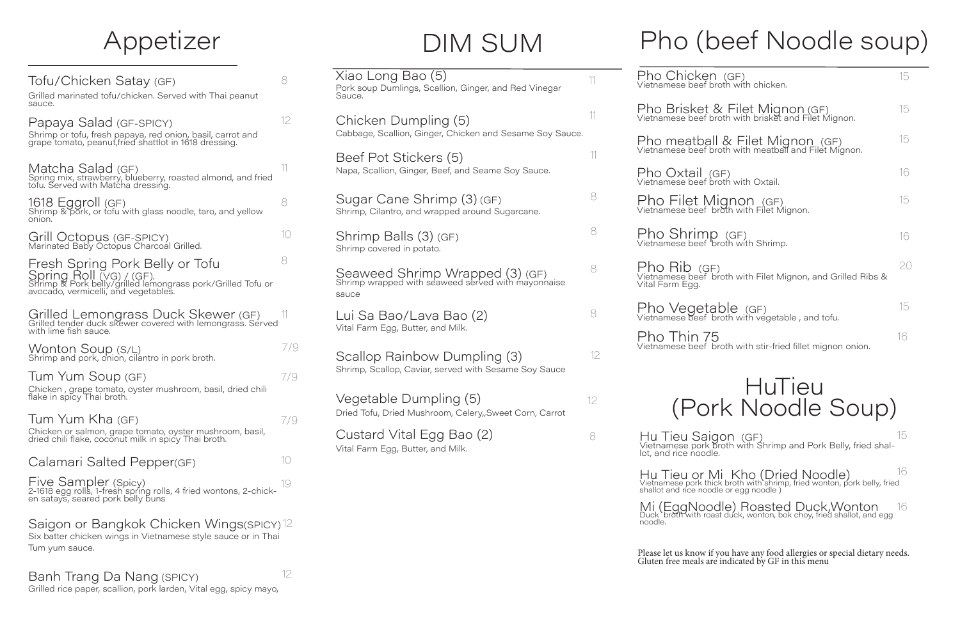#### **HuTieu** (Pork Noodle Soup)

Hu Tieu Saigon (GF) Vietnamese pork broth with Shrimp and Pork Belly, fried shal-<br>lot, and rice noodle. 8 MHu Tieu Saigon (GF) 15 MHz 15 MHz 15

Six batter chicken wings in Vietnamese style sauce or in Thai Tum yum sauce.

| Tofu/Chicken Satay (GF)<br>Grilled marinated tofu/chicken. Served with Thai peanut<br>sauce.                                                                       | 8   |
|--------------------------------------------------------------------------------------------------------------------------------------------------------------------|-----|
| Papaya Salad (GF-SPICY)<br>Shrimp or tofu, fresh papaya, red onion, basil, carrot and<br>grape tomato, peanut, fried shattlot in 1618 dressing.                    | 12  |
| Matcha Salad (GF)<br>Spring mix, strawberry, blueberry, roasted almond, and fried<br>tofu. Served with Matcha dressing.                                            | 11  |
| 1618 Eggroll (GF)<br>Shrimp & pork, or tofu with glass noodle, taro, and yellow<br>onion.                                                                          | 8   |
| Grill Octopus (GF-SPICY)<br>Marinated Baby Octopus Charcoal Grilled.                                                                                               | 10  |
| Fresh Spring Pork Belly or Tofu<br>Spring Roll (VG) / (GF).<br>Shrimp & Pork belly/grilled lemongrass pork/Grilled Tofu or<br>avocado, vermicelli, and vegetables. | 8   |
| Grilled Lemongrass Duck Skewer (GF)<br>Grilled tender duck skewer covered with lemongrass. Served<br>with lime fish sauce.                                         | 11  |
| Wonton Soup (S/L)<br>Shrimp and pork, onion, cilantro in pork broth.                                                                                               | 7/9 |
| Tum Yum Soup (GF)<br>Chicken, grape tomato, oyster mushroom, basil, dried chili<br>flake in spicy Thai broth.                                                      | 7/9 |
| Tum Yum Kha (GF)<br>Chicken or salmon, grape tomato, oyster mushroom, basil,<br>dried chili flake, coconut milk in spicy Thai broth.                               | 7/9 |
| Calamari Salted Pepper(GF)                                                                                                                                         | 10  |
| Five Sampler (Spicy)<br>2-1618 egg rolls, 1-fresh spring rolls, 4 fried wontons, 2-chick-<br>en satays, seared pork belly buns                                     | 19  |
| Saigon or Bangkok Chicken Wings(SPICY) 12                                                                                                                          |     |

Hu Tieu or Mi Kho (Dried Noodle)<br>Vietnamese pork thick broth with shrimp, fried wonton, pork belly, fried shallot and rice noodle or egg noodle ) 16

# Pho (beef Noodle soup)

Please let us know if you have any food allergies or special dietary needs. Gluten free meals are indicated by GF in this menu

| Xiao Long Bao (5)<br>Pork soup Dumlings, Scallion, Ginger, and Red Vinegar<br>Sauce.                                       | 11            | Pho Chicke<br>Vietnamese beef                       |
|----------------------------------------------------------------------------------------------------------------------------|---------------|-----------------------------------------------------|
| Chicken Dumpling (5)                                                                                                       | $\frac{1}{2}$ | Pho Brisket<br>Vietnamese beef                      |
| Cabbage, Scallion, Ginger, Chicken and Sesame Soy Sauce.                                                                   | 11            | Pho meatba<br>Vietnamese beef                       |
| Beef Pot Stickers (5)<br>Napa, Scallion, Ginger, Beef, and Seame Soy Sauce.                                                |               | Pho Oxtail<br>Vietnamese beef                       |
| Sugar Cane Shrimp (3) (GF)<br>Shrimp, Cilantro, and wrapped around Sugarcane.                                              | 8             | Pho Filet N<br>Vietnamese beef                      |
| Shrimp Balls (3) (GF)<br>Shrimp covered in potato.                                                                         | 8             | Pho Shrim<br>Vietnamese beef                        |
| Seaweed Shrimp Wrapped (3) (GF)<br>Shrimp wrapped with seaweed served with mayonnaise<br>sauce                             | 8             | Pho Rib (c<br>Vietnamese beef<br>Vital Farm Egg.    |
| Lui Sa Bao/Lava Bao (2)                                                                                                    | 8             | Pho Veget<br>Vietnamese beef                        |
| Vital Farm Egg, Butter, and Milk.<br>Scallop Rainbow Dumpling (3)<br>Shrimp, Scallop, Caviar, served with Sesame Soy Sauce | 12            | Pho Thin 7<br>Vietnamese beef                       |
| Vegetable Dumpling (5)<br>Dried Tofu, Dried Mushroom, Celery, Sweet Corn, Carrot                                           | 12            |                                                     |
| Custard Vital Egg Bao (2)<br>Vital Farm Egg, Butter, and Milk.                                                             | 8             | Hu Tieu Sa<br>Vietnamese pork<br>lot, and rice nood |

Mi (EggNoodle) Roasted Duck,Wonton Duck broth with roast duck, wonton, bok choy, fried shallot, and egg 16

noodle.

## Appetizer

| Pho Chicken (GF)<br>Vietnamese beef broth with chicken.                                        | 15 |
|------------------------------------------------------------------------------------------------|----|
| Pho Brisket & Filet Mignon (GF)<br>Vietnamese beef broth with brisket and Filet Mignon.        | 15 |
| Pho meatball & Filet Mignon (GF)<br>Vietnamese beef broth with meatball and Filet Mignon.      | 15 |
| Pho Oxtail (GF)<br>Vietnamese beef broth with Oxtail.                                          | 16 |
| Pho Filet Mignon (GF)<br>Vietnamese beef broth with Filet Mignon.                              | 15 |
| Pho Shrimp (GF)<br>Vietnamese beef broth with Shrimp.                                          | 16 |
| Pho Rib (GF)<br>Vietnamese beef broth with Filet Mignon, and Grilled Ribs &<br>Vital Farm Egg. | 20 |
| Pho Vegetable (GF)<br>Vietnamese beef broth with vegetable, and tofu.                          | 15 |
| Pho Thin 75<br>Vietnamese beef broth with stir-fried fillet mignon onion.                      | 16 |

12

# DIM SUM